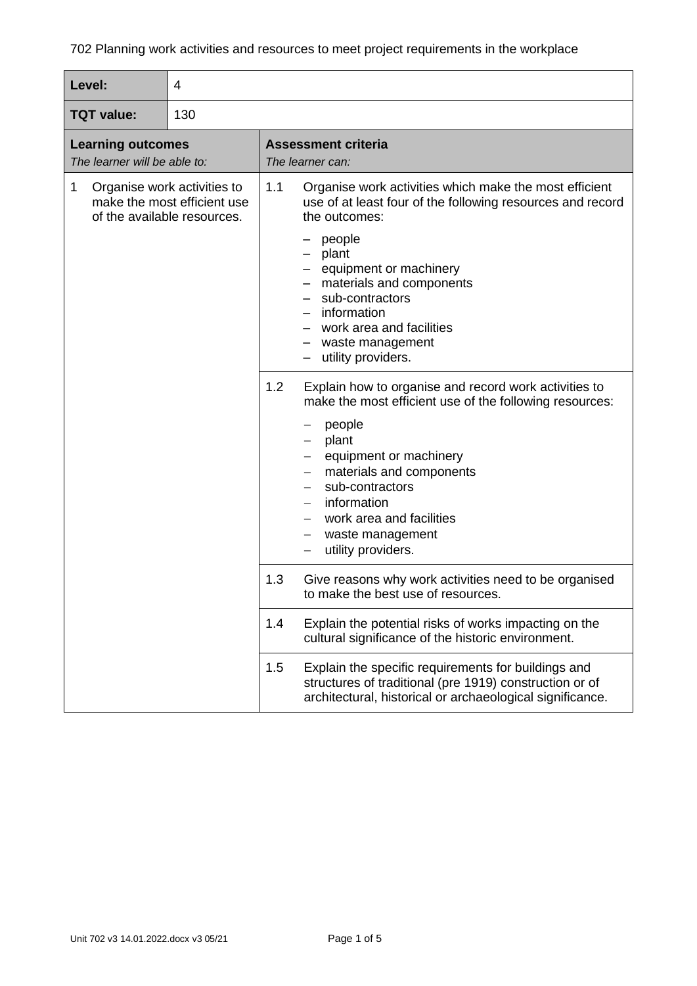| Level:                                                                                         | 4 |                                                                                                                                                                                                                                                                                                                               |  |  |  |
|------------------------------------------------------------------------------------------------|---|-------------------------------------------------------------------------------------------------------------------------------------------------------------------------------------------------------------------------------------------------------------------------------------------------------------------------------|--|--|--|
| 130<br><b>TQT</b> value:                                                                       |   |                                                                                                                                                                                                                                                                                                                               |  |  |  |
| <b>Learning outcomes</b><br>The learner will be able to:                                       |   | <b>Assessment criteria</b><br>The learner can:                                                                                                                                                                                                                                                                                |  |  |  |
| 1<br>Organise work activities to<br>make the most efficient use<br>of the available resources. |   | 1.1<br>Organise work activities which make the most efficient<br>use of at least four of the following resources and record<br>the outcomes:<br>people<br>plant<br>equipment or machinery<br>materials and components<br>sub-contractors<br>information<br>work area and facilities<br>waste management<br>utility providers. |  |  |  |
|                                                                                                |   | 1.2<br>Explain how to organise and record work activities to<br>make the most efficient use of the following resources:<br>people<br>—<br>plant<br>equipment or machinery<br>materials and components<br>sub-contractors<br>information<br>work area and facilities<br>waste management<br>utility providers.                 |  |  |  |
|                                                                                                |   | 1.3<br>Give reasons why work activities need to be organised<br>to make the best use of resources.                                                                                                                                                                                                                            |  |  |  |
|                                                                                                |   | Explain the potential risks of works impacting on the<br>1.4<br>cultural significance of the historic environment.                                                                                                                                                                                                            |  |  |  |
|                                                                                                |   | 1.5<br>Explain the specific requirements for buildings and<br>structures of traditional (pre 1919) construction or of<br>architectural, historical or archaeological significance.                                                                                                                                            |  |  |  |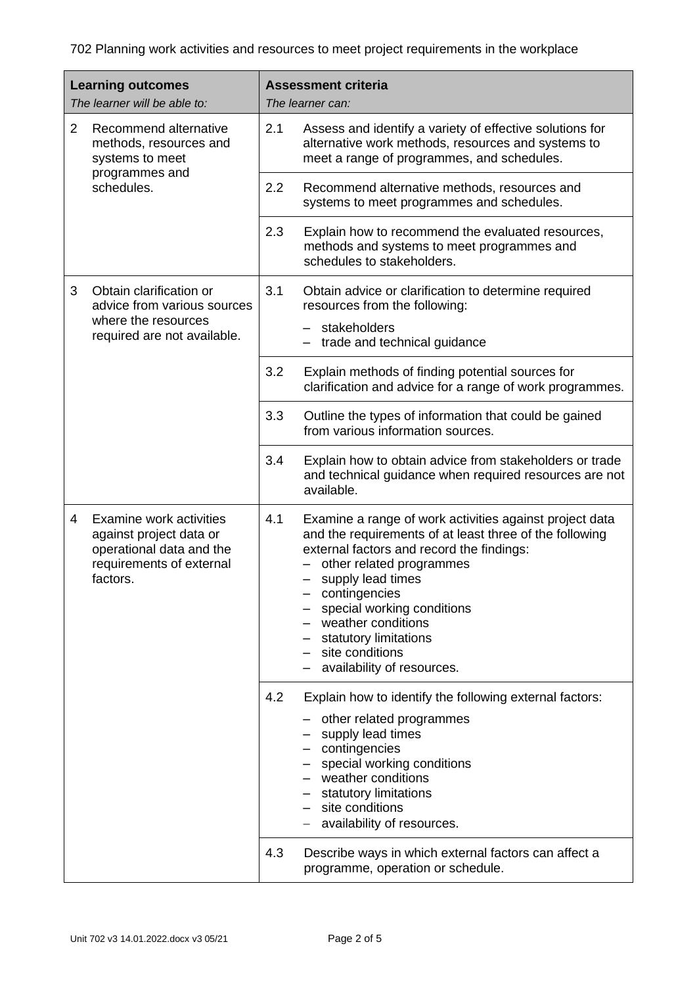| <b>Learning outcomes</b><br>The learner will be able to: |                                                                                                                        | <b>Assessment criteria</b><br>The learner can: |                                                                                                                                                                                                                                                                                                                                                                 |  |
|----------------------------------------------------------|------------------------------------------------------------------------------------------------------------------------|------------------------------------------------|-----------------------------------------------------------------------------------------------------------------------------------------------------------------------------------------------------------------------------------------------------------------------------------------------------------------------------------------------------------------|--|
| $\overline{2}$                                           | Recommend alternative<br>methods, resources and<br>systems to meet<br>programmes and<br>schedules.                     | 2.1                                            | Assess and identify a variety of effective solutions for<br>alternative work methods, resources and systems to<br>meet a range of programmes, and schedules.                                                                                                                                                                                                    |  |
|                                                          |                                                                                                                        | 2.2                                            | Recommend alternative methods, resources and<br>systems to meet programmes and schedules.                                                                                                                                                                                                                                                                       |  |
|                                                          |                                                                                                                        | 2.3                                            | Explain how to recommend the evaluated resources,<br>methods and systems to meet programmes and<br>schedules to stakeholders.                                                                                                                                                                                                                                   |  |
| 3                                                        | Obtain clarification or<br>advice from various sources<br>where the resources<br>required are not available.           | 3.1                                            | Obtain advice or clarification to determine required<br>resources from the following:<br>stakeholders<br>trade and technical guidance                                                                                                                                                                                                                           |  |
|                                                          |                                                                                                                        | 3.2                                            | Explain methods of finding potential sources for<br>clarification and advice for a range of work programmes.                                                                                                                                                                                                                                                    |  |
|                                                          |                                                                                                                        | 3.3                                            | Outline the types of information that could be gained<br>from various information sources.                                                                                                                                                                                                                                                                      |  |
|                                                          |                                                                                                                        | 3.4                                            | Explain how to obtain advice from stakeholders or trade<br>and technical guidance when required resources are not<br>available.                                                                                                                                                                                                                                 |  |
| 4                                                        | Examine work activities<br>against project data or<br>operational data and the<br>requirements of external<br>factors. | 4.1                                            | Examine a range of work activities against project data<br>and the requirements of at least three of the following<br>external factors and record the findings:<br>other related programmes<br>supply lead times<br>contingencies<br>special working conditions<br>weather conditions<br>statutory limitations<br>site conditions<br>availability of resources. |  |
|                                                          |                                                                                                                        | 4.2<br>4.3                                     | Explain how to identify the following external factors:<br>other related programmes<br>supply lead times<br>contingencies<br>special working conditions<br>weather conditions<br>statutory limitations<br>site conditions<br>availability of resources.<br>Describe ways in which external factors can affect a<br>programme, operation or schedule.            |  |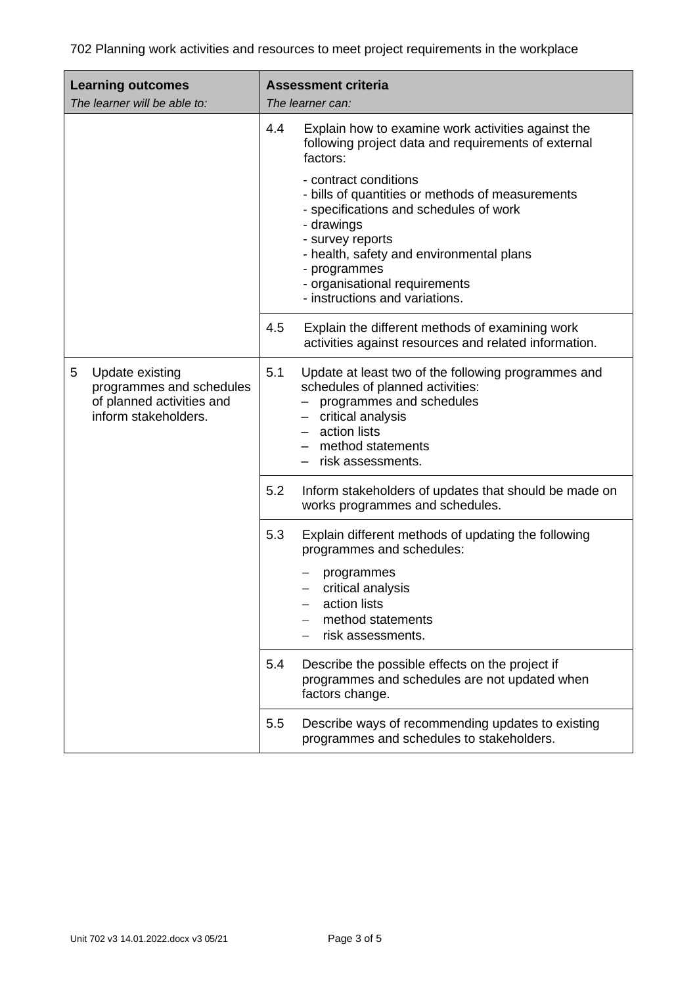| <b>Learning outcomes</b><br>The learner will be able to:                                              | <b>Assessment criteria</b><br>The learner can:                                                                                                                                                                                                                                       |  |  |
|-------------------------------------------------------------------------------------------------------|--------------------------------------------------------------------------------------------------------------------------------------------------------------------------------------------------------------------------------------------------------------------------------------|--|--|
|                                                                                                       | 4.4<br>Explain how to examine work activities against the<br>following project data and requirements of external<br>factors:                                                                                                                                                         |  |  |
|                                                                                                       | - contract conditions<br>- bills of quantities or methods of measurements<br>- specifications and schedules of work<br>- drawings<br>- survey reports<br>- health, safety and environmental plans<br>- programmes<br>- organisational requirements<br>- instructions and variations. |  |  |
|                                                                                                       | 4.5<br>Explain the different methods of examining work<br>activities against resources and related information.                                                                                                                                                                      |  |  |
| 5<br>Update existing<br>programmes and schedules<br>of planned activities and<br>inform stakeholders. | 5.1<br>Update at least two of the following programmes and<br>schedules of planned activities:<br>- programmes and schedules<br>- critical analysis<br>- action lists<br>- method statements<br>risk assessments.                                                                    |  |  |
|                                                                                                       | 5.2<br>Inform stakeholders of updates that should be made on<br>works programmes and schedules.                                                                                                                                                                                      |  |  |
|                                                                                                       | 5.3<br>Explain different methods of updating the following<br>programmes and schedules:                                                                                                                                                                                              |  |  |
|                                                                                                       | programmes<br>critical analysis<br>action lists<br>method statements<br>risk assessments.                                                                                                                                                                                            |  |  |
|                                                                                                       | 5.4<br>Describe the possible effects on the project if<br>programmes and schedules are not updated when<br>factors change.                                                                                                                                                           |  |  |
|                                                                                                       | 5.5<br>Describe ways of recommending updates to existing<br>programmes and schedules to stakeholders.                                                                                                                                                                                |  |  |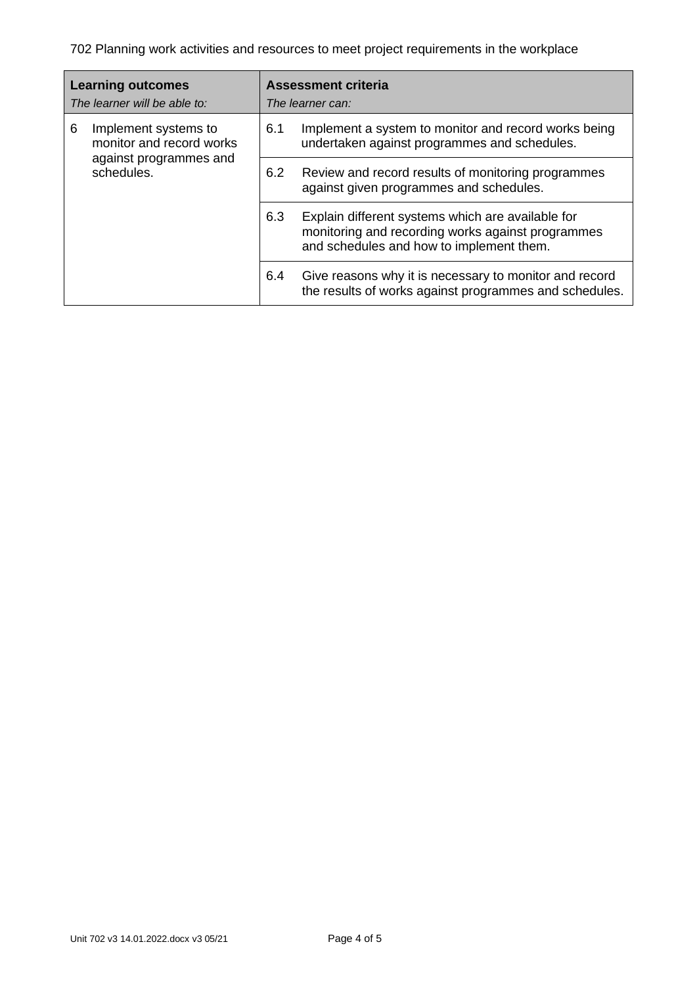| <b>Learning outcomes</b><br>The learner will be able to: |                                                  | <b>Assessment criteria</b><br>The learner can: |                                                                                                                                                    |  |
|----------------------------------------------------------|--------------------------------------------------|------------------------------------------------|----------------------------------------------------------------------------------------------------------------------------------------------------|--|
| 6                                                        | Implement systems to<br>monitor and record works | 6.1                                            | Implement a system to monitor and record works being<br>undertaken against programmes and schedules.                                               |  |
|                                                          | against programmes and<br>schedules.             | 6.2                                            | Review and record results of monitoring programmes<br>against given programmes and schedules.                                                      |  |
|                                                          |                                                  | 6.3                                            | Explain different systems which are available for<br>monitoring and recording works against programmes<br>and schedules and how to implement them. |  |
|                                                          |                                                  | 6.4                                            | Give reasons why it is necessary to monitor and record<br>the results of works against programmes and schedules.                                   |  |